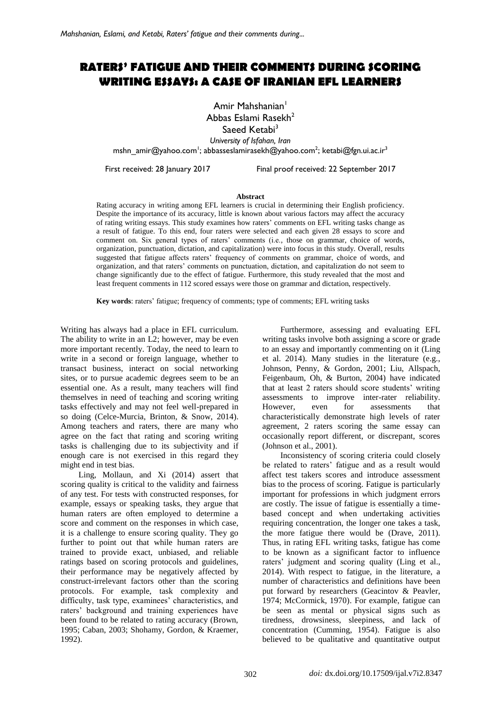# **RATERS' FATIGUE AND THEIR COMMENTS DURING SCORING WRITING ESSAYS: A CASE OF IRANIAN EFL LEARNERS**

Amir Mahshanian<sup>1</sup> Abbas Eslami Rasekh<sup>2</sup> Saeed  $K$ etabi $3$ *University of Isfahan, Iran*

[mshn\\_amir@yahoo.com](mailto:mshn_amir@yahoo.com)<sup>1</sup>; [abbasseslamirasekh@yahoo.com](mailto:abbasseslamirasekh@yahoo.com)<sup>2</sup>; ketabi@fgn.ui.ac.ir<sup>3</sup>

First received: 28 January 2017 Final proof received: 22 September 2017

#### **Abstract**

Rating accuracy in writing among EFL learners is crucial in determining their English proficiency. Despite the importance of its accuracy, little is known about various factors may affect the accuracy of rating writing essays. This study examines how raters' comments on EFL writing tasks change as a result of fatigue. To this end, four raters were selected and each given 28 essays to score and comment on. Six general types of raters' comments (i.e., those on grammar, choice of words, organization, punctuation, dictation, and capitalization) were into focus in this study. Overall, results suggested that fatigue affects raters' frequency of comments on grammar, choice of words, and organization, and that raters' comments on punctuation, dictation, and capitalization do not seem to change significantly due to the effect of fatigue. Furthermore, this study revealed that the most and least frequent comments in 112 scored essays were those on grammar and dictation, respectively.

**Key words**: raters' fatigue; frequency of comments; type of comments; EFL writing tasks

Writing has always had a place in EFL curriculum. The ability to write in an L2; however, may be even more important recently. Today, the need to learn to write in a second or foreign language, whether to transact business, interact on social networking sites, or to pursue academic degrees seem to be an essential one. As a result, many teachers will find themselves in need of teaching and scoring writing tasks effectively and may not feel well-prepared in so doing (Celce-Murcia, Brinton, & Snow, 2014). Among teachers and raters, there are many who agree on the fact that rating and scoring writing tasks is challenging due to its subjectivity and if enough care is not exercised in this regard they might end in test bias.

Ling, Mollaun, and Xi (2014) assert that scoring quality is critical to the validity and fairness of any test. For tests with constructed responses, for example, essays or speaking tasks, they argue that human raters are often employed to determine a score and comment on the responses in which case, it is a challenge to ensure scoring quality. They go further to point out that while human raters are trained to provide exact, unbiased, and reliable ratings based on scoring protocols and guidelines, their performance may be negatively affected by construct-irrelevant factors other than the scoring protocols. For example, task complexity and difficulty, task type, examinees' characteristics, and raters' background and training experiences have been found to be related to rating accuracy (Brown, 1995; Caban, 2003; Shohamy, Gordon, & Kraemer, 1992).

Furthermore, assessing and evaluating EFL writing tasks involve both assigning a score or grade to an essay and importantly commenting on it (Ling et al. 2014). Many studies in the literature (e.g., Johnson, Penny, & Gordon, 2001; Liu, Allspach, Feigenbaum, Oh, & Burton, 2004) have indicated that at least 2 raters should score students' writing assessments to improve inter-rater reliability. However, even for assessments that characteristically demonstrate high levels of rater agreement, 2 raters scoring the same essay can occasionally report different, or discrepant, scores (Johnson et al., 2001).

Inconsistency of scoring criteria could closely be related to raters' fatigue and as a result would affect test takers scores and introduce assessment bias to the process of scoring. Fatigue is particularly important for professions in which judgment errors are costly. The issue of fatigue is essentially a timebased concept and when undertaking activities requiring concentration, the longer one takes a task, the more fatigue there would be (Drave, 2011). Thus, in rating EFL writing tasks, fatigue has come to be known as a significant factor to influence raters' judgment and scoring quality (Ling et al., 2014). With respect to fatigue, in the literature, a number of characteristics and definitions have been put forward by researchers (Geacintov & Peavler, 1974; McCormick, 1970). For example, fatigue can be seen as mental or physical signs such as tiredness, drowsiness, sleepiness, and lack of concentration (Cumming, 1954). Fatigue is also believed to be qualitative and quantitative output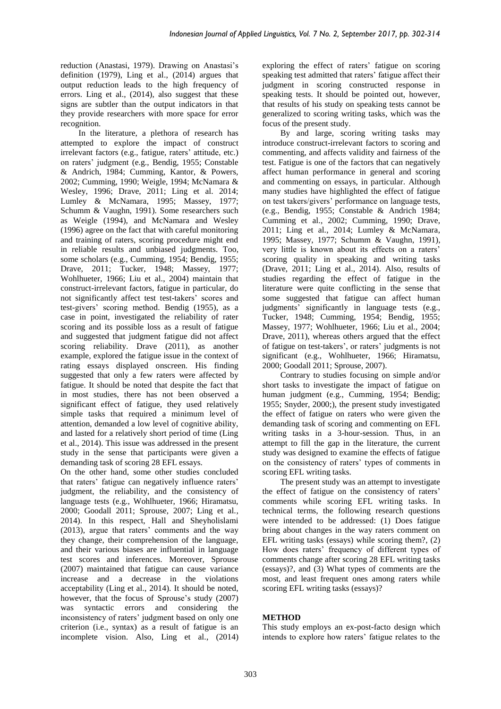reduction (Anastasi, 1979). Drawing on Anastasi's definition (1979), Ling et al., (2014) argues that output reduction leads to the high frequency of errors. Ling et al., (2014), also suggest that these signs are subtler than the output indicators in that they provide researchers with more space for error recognition.

In the literature, a plethora of research has attempted to explore the impact of construct irrelevant factors (e.g., fatigue, raters' attitude, etc.) on raters' judgment (e.g., Bendig, 1955; Constable & Andrich, 1984; Cumming, Kantor, & Powers, 2002; Cumming, 1990; Weigle, 1994; McNamara & Wesley, 1996; Drave, 2011; Ling et al. 2014; Lumley & McNamara, 1995; Massey, 1977; Schumm & Vaughn, 1991). Some researchers such as Weigle (1994), and McNamara and Wesley (1996) agree on the fact that with careful monitoring and training of raters, scoring procedure might end in reliable results and unbiased judgments. Too, some scholars (e.g., Cumming, 1954; Bendig, 1955; Drave, 2011; Tucker, 1948; Massey, 1977; Wohlhueter, 1966; Liu et al., 2004) maintain that construct-irrelevant factors, fatigue in particular, do not significantly affect test test-takers' scores and test-givers' scoring method. Bendig (1955), as a case in point, investigated the reliability of rater scoring and its possible loss as a result of fatigue and suggested that judgment fatigue did not affect scoring reliability. Drave (2011), as another example, explored the fatigue issue in the context of rating essays displayed onscreen. His finding suggested that only a few raters were affected by fatigue. It should be noted that despite the fact that in most studies, there has not been observed a significant effect of fatigue, they used relatively simple tasks that required a minimum level of attention, demanded a low level of cognitive ability, and lasted for a relatively short period of time (Ling et al., 2014). This issue was addressed in the present study in the sense that participants were given a demanding task of scoring 28 EFL essays.

On the other hand, some other studies concluded that raters' fatigue can negatively influence raters' judgment, the reliability, and the consistency of language tests (e.g., Wohlhueter, 1966; Hiramatsu, 2000; Goodall 2011; Sprouse, 2007; Ling et al., 2014). In this respect, Hall and Sheyholislami (2013), argue that raters' comments and the way they change, their comprehension of the language, and their various biases are influential in language test scores and inferences. Moreover, Sprouse (2007) maintained that fatigue can cause variance increase and a decrease in the violations acceptability (Ling et al., 2014). It should be noted, however, that the focus of Sprouse's study (2007) was syntactic errors and considering the inconsistency of raters' judgment based on only one criterion (i.e., syntax) as a result of fatigue is an incomplete vision. Also, Ling et al., (2014) exploring the effect of raters' fatigue on scoring speaking test admitted that raters' fatigue affect their judgment in scoring constructed response in speaking tests. It should be pointed out, however, that results of his study on speaking tests cannot be generalized to scoring writing tasks, which was the focus of the present study.

By and large, scoring writing tasks may introduce construct-irrelevant factors to scoring and commenting, and affects validity and fairness of the test. Fatigue is one of the factors that can negatively affect human performance in general and scoring and commenting on essays, in particular. Although many studies have highlighted the effect of fatigue on test takers/givers' performance on language tests, (e.g., Bendig, 1955; Constable & Andrich 1984; Cumming et al., 2002; Cumming, 1990; Drave, 2011; Ling et al., 2014; Lumley & McNamara, 1995; Massey, 1977; Schumm & Vaughn, 1991), very little is known about its effects on a raters' scoring quality in speaking and writing tasks (Drave, 2011; Ling et al., 2014). Also, results of studies regarding the effect of fatigue in the literature were quite conflicting in the sense that some suggested that fatigue can affect human judgments' significantly in language tests (e.g., Tucker, 1948; Cumming, 1954; Bendig, 1955; Massey, 1977; Wohlhueter, 1966; Liu et al., 2004; Drave, 2011), whereas others argued that the effect of fatigue on test-takers', or raters' judgments is not significant (e.g., Wohlhueter, 1966; Hiramatsu, 2000; Goodall 2011; Sprouse, 2007).

Contrary to studies focusing on simple and/or short tasks to investigate the impact of fatigue on human judgment (e.g., Cumming, 1954; Bendig; 1955; Snyder, 2000;), the present study investigated the effect of fatigue on raters who were given the demanding task of scoring and commenting on EFL writing tasks in a 3-hour-session. Thus, in an attempt to fill the gap in the literature, the current study was designed to examine the effects of fatigue on the consistency of raters' types of comments in scoring EFL writing tasks.

The present study was an attempt to investigate the effect of fatigue on the consistency of raters' comments while scoring EFL writing tasks. In technical terms, the following research questions were intended to be addressed: (1) Does fatigue bring about changes in the way raters comment on EFL writing tasks (essays) while scoring them?, (2) How does raters' frequency of different types of comments change after scoring 28 EFL writing tasks (essays)?, and (3) What types of comments are the most, and least frequent ones among raters while scoring EFL writing tasks (essays)?

# **METHOD**

This study employs an ex-post-facto design which intends to explore how raters' fatigue relates to the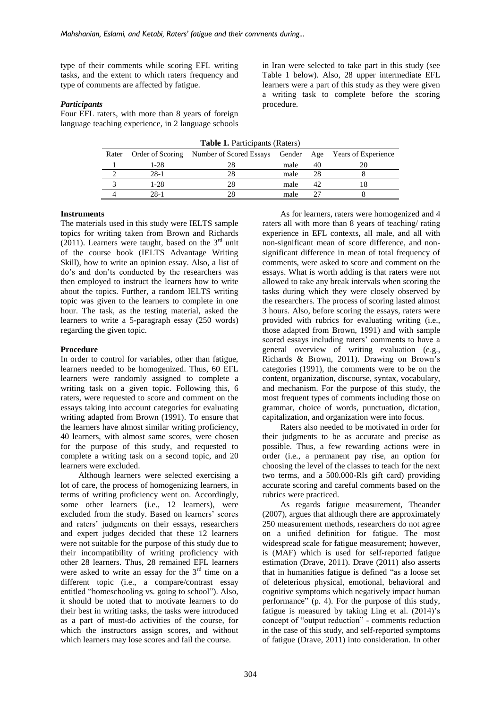type of their comments while scoring EFL writing tasks, and the extent to which raters frequency and type of comments are affected by fatigue.

#### *Participants*

Four EFL raters, with more than 8 years of foreign language teaching experience, in 2 language schools in Iran were selected to take part in this study (see Table 1 below). Also, 28 upper intermediate EFL learners were a part of this study as they were given a writing task to complete before the scoring procedure.

| <b>Table 1.</b> Participants (Raters) |        |                                                                               |      |    |  |  |  |  |  |  |  |
|---------------------------------------|--------|-------------------------------------------------------------------------------|------|----|--|--|--|--|--|--|--|
|                                       |        | Rater Order of Scoring Number of Scored Essays Gender Age Years of Experience |      |    |  |  |  |  |  |  |  |
|                                       | $1-28$ |                                                                               | male |    |  |  |  |  |  |  |  |
|                                       | $28-1$ | 28                                                                            | male | 28 |  |  |  |  |  |  |  |
|                                       | $1-28$ | 28                                                                            | male |    |  |  |  |  |  |  |  |
|                                       | 28-1   |                                                                               | male |    |  |  |  |  |  |  |  |

#### **Instruments**

The materials used in this study were IELTS sample topics for writing taken from Brown and Richards (2011). Learners were taught, based on the  $3<sup>rd</sup>$  unit of the course book (IELTS Advantage Writing Skill), how to write an opinion essay. Also, a list of do's and don'ts conducted by the researchers was then employed to instruct the learners how to write about the topics. Further, a random IELTS writing topic was given to the learners to complete in one hour. The task, as the testing material, asked the learners to write a 5-paragraph essay (250 words) regarding the given topic.

#### **Procedure**

In order to control for variables, other than fatigue, learners needed to be homogenized. Thus, 60 EFL learners were randomly assigned to complete a writing task on a given topic. Following this, 6 raters, were requested to score and comment on the essays taking into account categories for evaluating writing adapted from Brown (1991). To ensure that the learners have almost similar writing proficiency, 40 learners, with almost same scores, were chosen for the purpose of this study, and requested to complete a writing task on a second topic, and 20 learners were excluded.

Although learners were selected exercising a lot of care, the process of homogenizing learners, in terms of writing proficiency went on. Accordingly, some other learners (i.e., 12 learners), were excluded from the study. Based on learners' scores and raters' judgments on their essays, researchers and expert judges decided that these 12 learners were not suitable for the purpose of this study due to their incompatibility of writing proficiency with other 28 learners. Thus, 28 remained EFL learners were asked to write an essay for the  $3<sup>rd</sup>$  time on a different topic (i.e., a compare/contrast essay entitled "homeschooling vs. going to school"). Also, it should be noted that to motivate learners to do their best in writing tasks, the tasks were introduced as a part of must-do activities of the course, for which the instructors assign scores, and without which learners may lose scores and fail the course.

As for learners, raters were homogenized and 4 raters all with more than 8 years of teaching/ rating experience in EFL contexts, all male, and all with non-significant mean of score difference, and nonsignificant difference in mean of total frequency of comments, were asked to score and comment on the essays. What is worth adding is that raters were not allowed to take any break intervals when scoring the tasks during which they were closely observed by the researchers. The process of scoring lasted almost 3 hours. Also, before scoring the essays, raters were provided with rubrics for evaluating writing (i.e., those adapted from Brown, 1991) and with sample scored essays including raters' comments to have a general overview of writing evaluation (e.g., Richards & Brown, 2011). Drawing on Brown's categories (1991), the comments were to be on the content, organization, discourse, syntax, vocabulary, and mechanism. For the purpose of this study, the most frequent types of comments including those on grammar, choice of words, punctuation, dictation, capitalization, and organization were into focus.

Raters also needed to be motivated in order for their judgments to be as accurate and precise as possible. Thus, a few rewarding actions were in order (i.e., a permanent pay rise, an option for choosing the level of the classes to teach for the next two terms, and a 500.000-Rls gift card) providing accurate scoring and careful comments based on the rubrics were practiced.

As regards fatigue measurement, Theander (2007), argues that although there are approximately 250 measurement methods, researchers do not agree on a unified definition for fatigue. The most widespread scale for fatigue measurement; however, is (MAF) which is used for self-reported fatigue estimation (Drave, 2011). Drave (2011) also asserts that in humanities fatigue is defined "as a loose set of deleterious physical, emotional, behavioral and cognitive symptoms which negatively impact human performance" (p. 4). For the purpose of this study, fatigue is measured by taking Ling et al. (2014)'s concept of "output reduction" - comments reduction in the case of this study, and self-reported symptoms of fatigue (Drave, 2011) into consideration. In other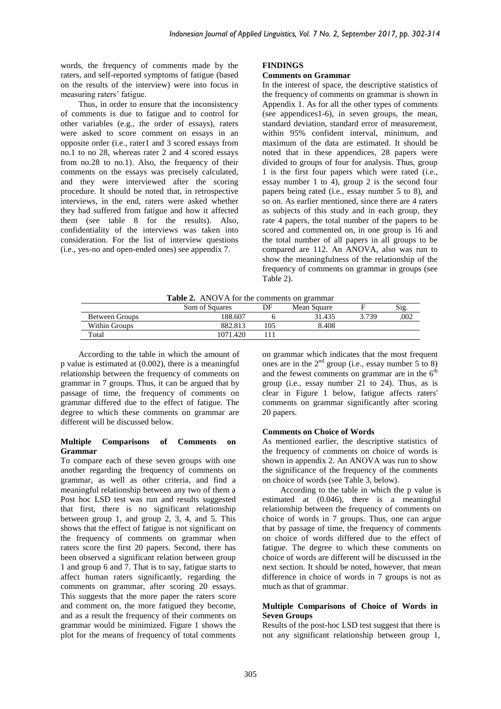words, the frequency of comments made by the raters, and self-reported symptoms of fatigue (based on the results of the interview) were into focus in measuring raters' fatigue.

Thus, in order to ensure that the inconsistency of comments is due to fatigue and to control for other variables (e.g., the order of essays), raters were asked to score comment on essays in an opposite order (i.e., rater1 and 3 scored essays from no.1 to no 28, whereas rater 2 and 4 scored essays from no.28 to no.1). Also, the frequency of their comments on the essays was precisely calculated, and they were interviewed after the scoring procedure. It should be noted that, in retrospective interviews, in the end, raters were asked whether they had suffered from fatigue and how it affected them (see table 8 for the results). Also, confidentiality of the interviews was taken into consideration. For the list of interview questions (i.e., yes-no and open-ended ones) see appendix 7.

### **FINDINGS**

#### **Comments on Grammar**

In the interest of space, the descriptive statistics of the frequency of comments on grammar is shown in Appendix 1. As for all the other types of comments (see appendices1-6), in seven groups, the mean, standard deviation, standard error of measurement, within 95% confident interval, minimum, and maximum of the data are estimated. It should be noted that in these appendices, 28 papers were divided to groups of four for analysis. Thus, group 1 is the first four papers which were rated (i.e., essay number 1 to 4), group 2 is the second four papers being rated (i.e., essay number 5 to 8), and so on. As earlier mentioned, since there are 4 raters as subjects of this study and in each group, they rate 4 papers, the total number of the papers to be scored and commented on, in one group is 16 and the total number of all papers in all groups to be compared are 112. An ANOVA, also was run to show the meaningfulness of the relationship of the frequency of comments on grammar in groups (see Table 2).

| Table 2. ANOVA for the comments on grammar |  |  |
|--------------------------------------------|--|--|
|--------------------------------------------|--|--|

|                | Sum of Squares | DF | Mean Square |       | Sig. |
|----------------|----------------|----|-------------|-------|------|
| Between Groups | 188.607        |    | 31.435      | 3.739 | .002 |
| Within Groups  | 882.813        |    | 8.408       |       |      |
| Total          | 1071.420       |    |             |       |      |

According to the table in which the amount of p value is estimated at (0.002), there is a meaningful relationship between the frequency of comments on grammar in 7 groups. Thus, it can be argued that by passage of time, the frequency of comments on grammar differed due to the effect of fatigue. The degree to which these comments on grammar are different will be discussed below.

#### **Multiple Comparisons of Comments on Grammar**

To compare each of these seven groups with one another regarding the frequency of comments on grammar, as well as other criteria, and find a meaningful relationship between any two of them a Post hoc LSD test was run and results suggested that first, there is no significant relationship between group 1, and group 2, 3, 4, and 5. This shows that the effect of fatigue is not significant on the frequency of comments on grammar when raters score the first 20 papers. Second, there has been observed a significant relation between group 1 and group 6 and 7. That is to say, fatigue starts to affect human raters significantly, regarding the comments on grammar, after scoring 20 essays. This suggests that the more paper the raters score and comment on, the more fatigued they become, and as a result the frequency of their comments on grammar would be minimized. Figure 1 shows the plot for the means of frequency of total comments on grammar which indicates that the most frequent ones are in the  $2<sup>nd</sup>$  group (i.e., essay number 5 to 8) and the fewest comments on grammar are in the  $6<sup>th</sup>$ group (i.e., essay number 21 to 24). Thus, as is clear in Figure 1 below, fatigue affects raters' comments on grammar significantly after scoring 20 papers.

### **Comments on Choice of Words**

As mentioned earlier, the descriptive statistics of the frequency of comments on choice of words is shown in appendix 2. An ANOVA was run to show the significance of the frequency of the comments on choice of words (see Table 3, below).

According to the table in which the p value is estimated at (0.046), there is a meaningful relationship between the frequency of comments on choice of words in 7 groups. Thus, one can argue that by passage of time, the frequency of comments on choice of words differed due to the effect of fatigue. The degree to which these comments on choice of words are different will be discussed in the next section. It should be noted, however, that mean difference in choice of words in 7 groups is not as much as that of grammar.

#### **Multiple Comparisons of Choice of Words in Seven Groups**

Results of the post-hoc LSD test suggest that there is not any significant relationship between group 1,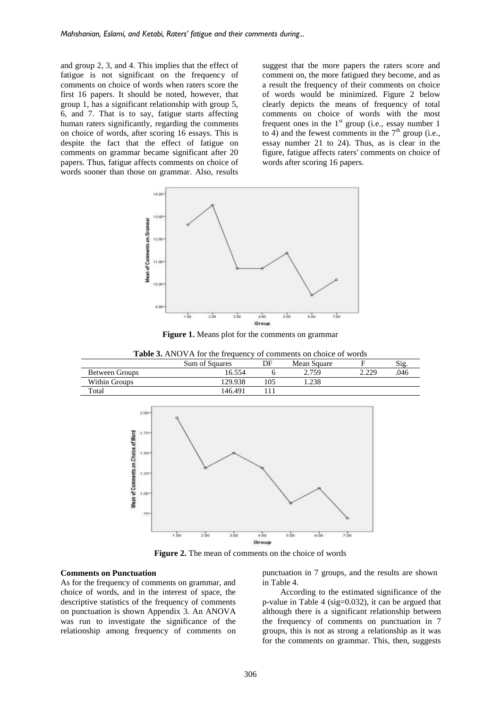and group 2, 3, and 4. This implies that the effect of fatigue is not significant on the frequency of comments on choice of words when raters score the first 16 papers. It should be noted, however, that group 1, has a significant relationship with group 5, 6, and 7. That is to say, fatigue starts affecting human raters significantly, regarding the comments on choice of words, after scoring 16 essays. This is despite the fact that the effect of fatigue on comments on grammar became significant after 20 papers. Thus, fatigue affects comments on choice of words sooner than those on grammar. Also, results

suggest that the more papers the raters score and comment on, the more fatigued they become, and as a result the frequency of their comments on choice of words would be minimized. Figure 2 below clearly depicts the means of frequency of total comments on choice of words with the most frequent ones in the  $1<sup>st</sup>$  group (i.e., essay number 1 to 4) and the fewest comments in the  $7<sup>th</sup>$  group (i.e., essay number 21 to 24). Thus, as is clear in the figure, fatigue affects raters' comments on choice of words after scoring 16 papers.



**Figure 1.** Means plot for the comments on grammar

**Table 3.** ANOVA for the frequency of comments on choice of words

|                | Sum of Squares | DF  | Mean Square |       | Sig. |
|----------------|----------------|-----|-------------|-------|------|
| Between Groups | 16.554         |     | 2.759       | 2.220 | 046  |
| Within Groups  | 129.938        | .05 | .238        |       |      |
| Total          | 146.491        |     |             |       |      |



**Figure 2.** The mean of comments on the choice of words

#### **Comments on Punctuation**

As for the frequency of comments on grammar, and choice of words, and in the interest of space, the descriptive statistics of the frequency of comments on punctuation is shown Appendix 3. An ANOVA was run to investigate the significance of the relationship among frequency of comments on punctuation in 7 groups, and the results are shown in Table 4.

According to the estimated significance of the p-value in Table 4 (sig=0.032), it can be argued that although there is a significant relationship between the frequency of comments on punctuation in 7 groups, this is not as strong a relationship as it was for the comments on grammar. This, then, suggests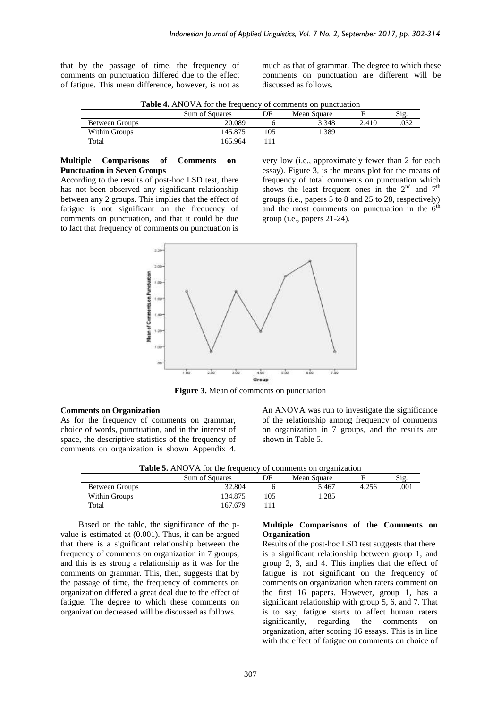that by the passage of time, the frequency of comments on punctuation differed due to the effect of fatigue. This mean difference, however, is not as

much as that of grammar. The degree to which these comments on punctuation are different will be discussed as follows.

**Table 4.** ANOVA for the frequency of comments on punctuation

|                       | Sum of Squares | DF  | Mean Square |      | Sig |
|-----------------------|----------------|-----|-------------|------|-----|
| <b>Between Groups</b> | 20.089         |     | 3.348       | .410 |     |
| Within Groups         | 145.875        | 105 | .389        |      |     |
| Total                 | 165.964        |     |             |      |     |

#### **Multiple Comparisons of Comments on Punctuation in Seven Groups**

According to the results of post-hoc LSD test, there has not been observed any significant relationship between any 2 groups. This implies that the effect of fatigue is not significant on the frequency of comments on punctuation, and that it could be due to fact that frequency of comments on punctuation is very low (i.e., approximately fewer than 2 for each essay). Figure 3, is the means plot for the means of frequency of total comments on punctuation which shows the least frequent ones in the  $2<sup>nd</sup>$  and  $7<sup>th</sup>$ groups (i.e., papers 5 to 8 and 25 to 28, respectively) and the most comments on punctuation in the  $6<sup>th</sup>$ group (i.e., papers 21-24).



**Figure 3.** Mean of comments on punctuation

#### **Comments on Organization**

As for the frequency of comments on grammar, choice of words, punctuation, and in the interest of space, the descriptive statistics of the frequency of comments on organization is shown Appendix 4. An ANOVA was run to investigate the significance of the relationship among frequency of comments on organization in 7 groups, and the results are shown in Table 5.

**Table 5.** ANOVA for the frequency of comments on organization

|                |                |     | $\overline{\phantom{a}}$ |      |
|----------------|----------------|-----|--------------------------|------|
|                | Sum of Squares | DF  | Mean Square              | Sig  |
| Between Groups | 32.804         |     | 5.467                    | .001 |
| Within Groups  | 134.875        | 105 | .285                     |      |
| Total          | 167.679        |     |                          |      |

Based on the table, the significance of the pvalue is estimated at (0.001). Thus, it can be argued that there is a significant relationship between the frequency of comments on organization in 7 groups, and this is as strong a relationship as it was for the comments on grammar. This, then, suggests that by the passage of time, the frequency of comments on organization differed a great deal due to the effect of fatigue. The degree to which these comments on organization decreased will be discussed as follows.

#### **Multiple Comparisons of the Comments on Organization**

Results of the post-hoc LSD test suggests that there is a significant relationship between group 1, and group 2, 3, and 4. This implies that the effect of fatigue is not significant on the frequency of comments on organization when raters comment on the first 16 papers. However, group 1, has a significant relationship with group 5, 6, and 7. That is to say, fatigue starts to affect human raters significantly, regarding the comments on organization, after scoring 16 essays. This is in line with the effect of fatigue on comments on choice of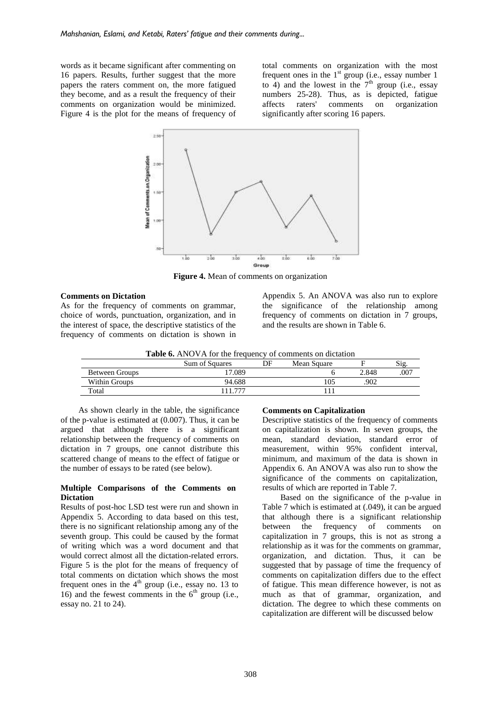words as it became significant after commenting on 16 papers. Results, further suggest that the more papers the raters comment on, the more fatigued they become, and as a result the frequency of their comments on organization would be minimized. Figure 4 is the plot for the means of frequency of total comments on organization with the most frequent ones in the  $1<sup>st</sup>$  group (i.e., essay number 1 to 4) and the lowest in the  $7<sup>th</sup>$  group (i.e., essay numbers 25-28). Thus, as is depicted, fatigue affects raters' comments on organization significantly after scoring 16 papers.



**Figure 4.** Mean of comments on organization

#### **Comments on Dictation**

As for the frequency of comments on grammar, choice of words, punctuation, organization, and in the interest of space, the descriptive statistics of the frequency of comments on dictation is shown in Appendix 5. An ANOVA was also run to explore the significance of the relationship among frequency of comments on dictation in 7 groups, and the results are shown in Table 6.

|  |  | <b>Table 6.</b> ANOVA for the frequency of comments on dictation |  |
|--|--|------------------------------------------------------------------|--|
|  |  |                                                                  |  |

|                | <b>Sum of Squares</b>    | DF | Mean Square |       | Sig. |
|----------------|--------------------------|----|-------------|-------|------|
| Between Groups | 7.089                    |    |             | 2.848 | .007 |
| Within Groups  | 94.688                   |    | 105         | 902   |      |
| Total          | $\overline{\phantom{a}}$ |    |             |       |      |

As shown clearly in the table, the significance of the p-value is estimated at (0.007). Thus, it can be argued that although there is a significant relationship between the frequency of comments on dictation in 7 groups, one cannot distribute this scattered change of means to the effect of fatigue or the number of essays to be rated (see below).

#### **Multiple Comparisons of the Comments on Dictation**

Results of post-hoc LSD test were run and shown in Appendix 5. According to data based on this test, there is no significant relationship among any of the seventh group. This could be caused by the format of writing which was a word document and that would correct almost all the dictation-related errors. Figure 5 is the plot for the means of frequency of total comments on dictation which shows the most frequent ones in the  $4<sup>th</sup>$  group (i.e., essay no. 13 to 16) and the fewest comments in the  $6<sup>th</sup>$  group (i.e., essay no. 21 to 24).

#### **Comments on Capitalization**

Descriptive statistics of the frequency of comments on capitalization is shown. In seven groups, the mean, standard deviation, standard error of measurement, within 95% confident interval, minimum, and maximum of the data is shown in Appendix 6. An ANOVA was also run to show the significance of the comments on capitalization, results of which are reported in Table 7.

Based on the significance of the p-value in Table 7 which is estimated at (.049), it can be argued that although there is a significant relationship between the frequency of comments on capitalization in 7 groups, this is not as strong a relationship as it was for the comments on grammar, organization, and dictation. Thus, it can be suggested that by passage of time the frequency of comments on capitalization differs due to the effect of fatigue. This mean difference however, is not as much as that of grammar, organization, and dictation. The degree to which these comments on capitalization are different will be discussed below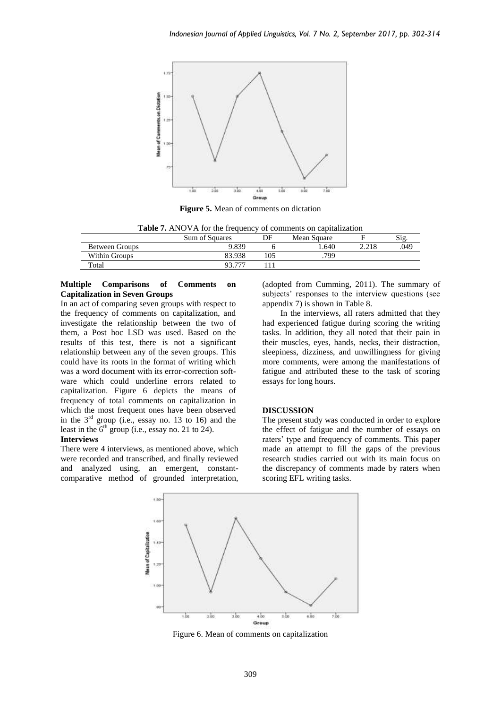

**Figure 5.** Mean of comments on dictation

| <b>Table 7.</b> ANOVA for the frequency of comments on capitalization |        |     |      |       |      |  |  |  |  |  |
|-----------------------------------------------------------------------|--------|-----|------|-------|------|--|--|--|--|--|
| Sum of Squares<br>DF<br>Mean Square                                   |        |     |      |       | Sig  |  |  |  |  |  |
| Between Groups                                                        | 9.839  |     | .640 | 2.218 | .049 |  |  |  |  |  |
| Within Groups                                                         | 83.938 | 105 | 799  |       |      |  |  |  |  |  |
| Total                                                                 | 93 777 |     |      |       |      |  |  |  |  |  |

#### **Multiple Comparisons of Comments on Capitalization in Seven Groups**

In an act of comparing seven groups with respect to the frequency of comments on capitalization, and investigate the relationship between the two of them, a Post hoc LSD was used. Based on the results of this test, there is not a significant relationship between any of the seven groups. This could have its roots in the format of writing which was a word document with its error-correction software which could underline errors related to capitalization. Figure 6 depicts the means of frequency of total comments on capitalization in which the most frequent ones have been observed in the  $3<sup>rd</sup>$  group (i.e., essay no. 13 to 16) and the least in the  $6<sup>th</sup>$  group (i.e., essay no. 21 to 24).

#### **Interviews**

There were 4 interviews, as mentioned above, which were recorded and transcribed, and finally reviewed and analyzed using, an emergent, constantcomparative method of grounded interpretation,

(adopted from Cumming, 2011). The summary of subjects' responses to the interview questions (see appendix 7) is shown in Table 8.

In the interviews, all raters admitted that they had experienced fatigue during scoring the writing tasks. In addition, they all noted that their pain in their muscles, eyes, hands, necks, their distraction, sleepiness, dizziness, and unwillingness for giving more comments, were among the manifestations of fatigue and attributed these to the task of scoring essays for long hours.

#### **DISCUSSION**

The present study was conducted in order to explore the effect of fatigue and the number of essays on raters' type and frequency of comments. This paper made an attempt to fill the gaps of the previous research studies carried out with its main focus on the discrepancy of comments made by raters when scoring EFL writing tasks.



Figure 6. Mean of comments on capitalization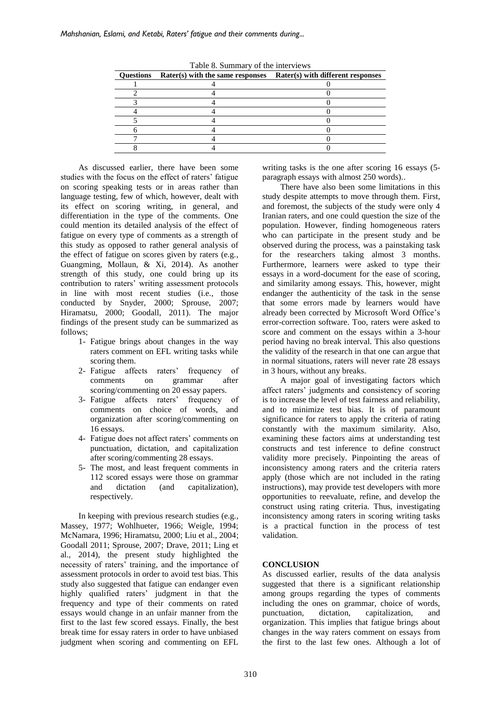| <b>Ouestions</b> | Rater(s) with the same responses | Rater(s) with different responses |
|------------------|----------------------------------|-----------------------------------|
|                  |                                  |                                   |
|                  |                                  |                                   |
|                  |                                  |                                   |
|                  |                                  |                                   |
|                  |                                  |                                   |
|                  |                                  |                                   |
|                  |                                  |                                   |
|                  |                                  |                                   |

Table 8. Summary of the interviews

As discussed earlier, there have been some studies with the focus on the effect of raters' fatigue on scoring speaking tests or in areas rather than language testing, few of which, however, dealt with its effect on scoring writing, in general, and differentiation in the type of the comments. One could mention its detailed analysis of the effect of fatigue on every type of comments as a strength of this study as opposed to rather general analysis of the effect of fatigue on scores given by raters (e.g., Guangming, Mollaun, & Xi, 2014). As another strength of this study, one could bring up its contribution to raters' writing assessment protocols in line with most recent studies (i.e., those conducted by Snyder, 2000; Sprouse, 2007; Hiramatsu, 2000; Goodall, 2011). The major findings of the present study can be summarized as follows;

- 1- Fatigue brings about changes in the way raters comment on EFL writing tasks while scoring them.
- 2- Fatigue affects raters' frequency of comments on grammar after scoring/commenting on 20 essay papers.
- 3- Fatigue affects raters' frequency of comments on choice of words, and organization after scoring/commenting on 16 essays.
- 4- Fatigue does not affect raters' comments on punctuation, dictation, and capitalization after scoring/commenting 28 essays.
- 5- The most, and least frequent comments in 112 scored essays were those on grammar and dictation (and capitalization), respectively.

In keeping with previous research studies (e.g., Massey, 1977; Wohlhueter, 1966; Weigle, 1994; McNamara, 1996; Hiramatsu, 2000; Liu et al., 2004; Goodall 2011; Sprouse, 2007; Drave, 2011; Ling et al., 2014), the present study highlighted the necessity of raters' training, and the importance of assessment protocols in order to avoid test bias. This study also suggested that fatigue can endanger even highly qualified raters' judgment in that the frequency and type of their comments on rated essays would change in an unfair manner from the first to the last few scored essays. Finally, the best break time for essay raters in order to have unbiased judgment when scoring and commenting on EFL writing tasks is the one after scoring 16 essays (5 paragraph essays with almost 250 words)..

There have also been some limitations in this study despite attempts to move through them. First, and foremost, the subjects of the study were only 4 Iranian raters, and one could question the size of the population. However, finding homogeneous raters who can participate in the present study and be observed during the process, was a painstaking task for the researchers taking almost 3 months. Furthermore, learners were asked to type their essays in a word-document for the ease of scoring, and similarity among essays. This, however, might endanger the authenticity of the task in the sense that some errors made by learners would have already been corrected by Microsoft Word Office's error-correction software. Too, raters were asked to score and comment on the essays within a 3-hour period having no break interval. This also questions the validity of the research in that one can argue that in normal situations, raters will never rate 28 essays in 3 hours, without any breaks.

A major goal of investigating factors which affect raters' judgments and consistency of scoring is to increase the level of test fairness and reliability, and to minimize test bias. It is of paramount significance for raters to apply the criteria of rating constantly with the maximum similarity. Also, examining these factors aims at understanding test constructs and test inference to define construct validity more precisely. Pinpointing the areas of inconsistency among raters and the criteria raters apply (those which are not included in the rating instructions), may provide test developers with more opportunities to reevaluate, refine, and develop the construct using rating criteria. Thus, investigating inconsistency among raters in scoring writing tasks is a practical function in the process of test validation.

### **CONCLUSION**

As discussed earlier, results of the data analysis suggested that there is a significant relationship among groups regarding the types of comments including the ones on grammar, choice of words, punctuation, dictation, capitalization, and organization. This implies that fatigue brings about changes in the way raters comment on essays from the first to the last few ones. Although a lot of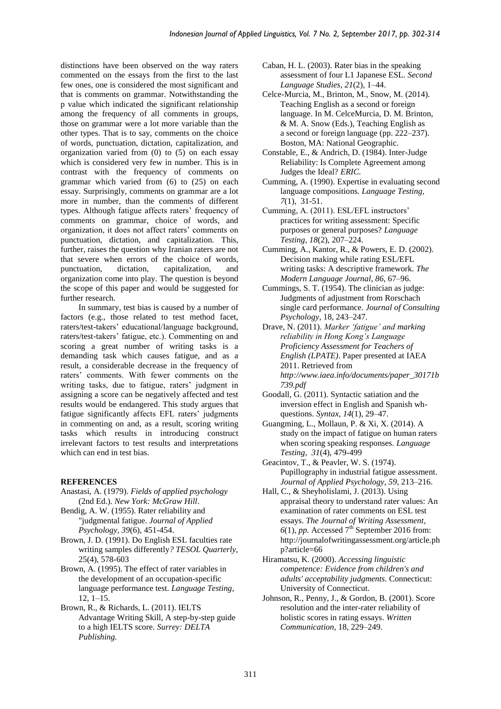distinctions have been observed on the way raters commented on the essays from the first to the last few ones, one is considered the most significant and that is comments on grammar. Notwithstanding the p value which indicated the significant relationship among the frequency of all comments in groups, those on grammar were a lot more variable than the other types. That is to say, comments on the choice of words, punctuation, dictation, capitalization, and organization varied from  $(0)$  to  $(5)$  on each essay which is considered very few in number. This is in contrast with the frequency of comments on grammar which varied from (6) to (25) on each essay. Surprisingly, comments on grammar are a lot more in number, than the comments of different types. Although fatigue affects raters' frequency of comments on grammar, choice of words, and organization, it does not affect raters' comments on punctuation, dictation, and capitalization. This, further, raises the question why Iranian raters are not that severe when errors of the choice of words, punctuation, dictation, capitalization, and organization come into play. The question is beyond the scope of this paper and would be suggested for further research.

In summary, test bias is caused by a number of factors (e.g., those related to test method facet, raters/test-takers' educational/language background, raters/test-takers' fatigue, etc.). Commenting on and scoring a great number of writing tasks is a demanding task which causes fatigue, and as a result, a considerable decrease in the frequency of raters' comments. With fewer comments on the writing tasks, due to fatigue, raters' judgment in assigning a score can be negatively affected and test results would be endangered. This study argues that fatigue significantly affects EFL raters' judgments in commenting on and, as a result, scoring writing tasks which results in introducing construct irrelevant factors to test results and interpretations which can end in test bias.

### **REFERENCES**

- Anastasi, A. (1979). *Fields of applied psychology* (2nd Ed.). *New York: McGraw Hill*.
- Bendig, A. W. (1955). Rater reliability and "judgmental fatigue. *Journal of Applied Psychology*, *39*(6), 451-454.
- Brown, J. D. (1991). Do English ESL faculties rate writing samples differently*? TESOL Quarterly,*  25(4), 578-603
- Brown, A. (1995). The effect of rater variables in the development of an occupation-specific language performance test. *Language Testing*, 12, 1–15.
- Brown, R., & Richards, L. (2011). IELTS Advantage Writing Skill, A step-by-step guide to a high IELTS score. *Surrey: DELTA Publishing.*
- Caban, H. L. (2003). Rater bias in the speaking assessment of four L1 Japanese ESL. *Second Language Studies*, *21*(2), 1–44.
- Celce-Murcia, M., Brinton, M., Snow, M. (2014). Teaching English as a second or foreign language. In M. CelceMurcia, D. M. Brinton, & M. A. Snow (Eds.), Teaching English as a second or foreign language (pp. 222–237). Boston, MA: National Geographic.
- Constable, E., & Andrich, D. (1984). Inter-Judge Reliability: Is Complete Agreement among Judges the Ideal? *ERIC.*
- Cumming, A. (1990). Expertise in evaluating second language compositions*. Language Testing, 7*(1), 31-51.
- Cumming, A. (2011). ESL/EFL instructors' practices for writing assessment: Specific purposes or general purposes? *Language Testing, 18*(2), 207–224.
- Cumming, A., Kantor, R., & Powers, E. D. (2002). Decision making while rating ESL/EFL writing tasks: A descriptive framework. *The Modern Language Journal*, *86*, 67–96.
- Cummings, S. T. (1954). The clinician as judge: Judgments of adjustment from Rorschach single card performance. *Journal of Consulting Psychology*, 18, 243–247.
- Drave, N. (2011). *Marker 'fatigue' and marking reliability in Hong Kong's Language Proficiency Assessment for Teachers of English (LPATE)*. Paper presented at IAEA 2011. Retrieved from *[http://www.iaea.info/documents/paper\\_30171b](http://www.iaea.info/documents/paper_30171b739.pdf) [739.pdf](http://www.iaea.info/documents/paper_30171b739.pdf)*
- Goodall, G. (2011). Syntactic satiation and the inversion effect in English and Spanish whquestions. *Syntax*, *14*(1), 29–47.
- Guangming, L., Mollaun, P. & Xi, X. (2014). A study on the impact of fatigue on human raters when scoring speaking responses. *Language Testing, 31*(4), 479-499
- Geacintov, T., & Peavler, W. S. (1974). Pupillography in industrial fatigue assessment. *Journal of Applied Psychology*, *59*, 213–216.
- Hall, C., & Sheyholislami, J. (2013). Using appraisal theory to understand rater values: An examination of rater comments on ESL test essays. *The Journal of Writing Assessment,*   $6(1)$ , *pp.* Accessed  $7<sup>th</sup>$  September 2016 from: http://journalofwritingassessment.org/article.ph p?article=66
- Hiramatsu, K. (2000). *Accessing linguistic competence: Evidence from children's and adults' acceptability judgments.* Connecticut: University of Connecticut.
- Johnson, R., Penny, J., & Gordon, B. (2001). Score resolution and the inter-rater reliability of holistic scores in rating essays. *Written Communication,* 18, 229–249.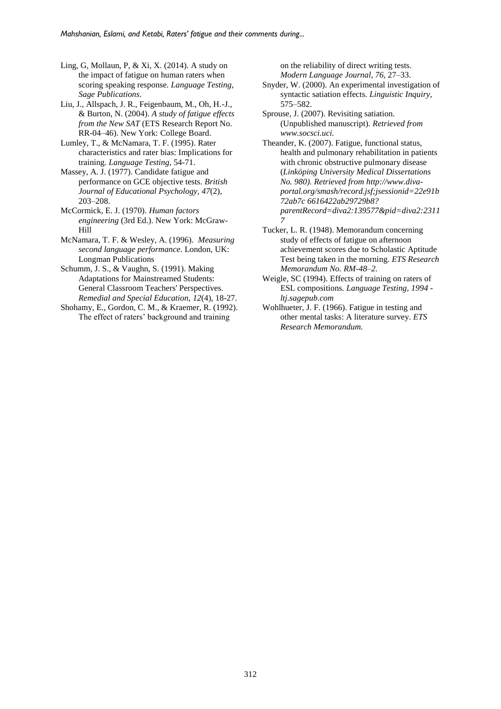Ling, G, Mollaun, P, & Xi, X. (2014). A study on the impact of fatigue on human raters when scoring speaking response. *Language Testing, Sage Publications*.

Liu, J., Allspach, J. R., Feigenbaum, M., Oh, H.-J., & Burton, N. (2004). *A study of fatigue effects from the New SAT* (ETS Research Report No. RR-04–46). New York: College Board.

Lumley, T., & McNamara, T. F. (1995). Rater characteristics and rater bias: Implications for training. *Language Testing,* 54-71.

Massey, A. J. (1977). Candidate fatigue and performance on GCE objective tests. *British Journal of Educational Psychology, 47*(2), 203–208.

McCormick, E. J. (1970). *Human factors engineering* (3rd Ed.). New York: McGraw-Hill

[McNamara,](https://scholar.google.com/citations?user=EfBjhe0AAAAJ&hl=en&oi=sra) T. F. & Wesley, A. (1996). *Measuring second language performance*. London, UK: Longman Publications

Schumm, J. S., & Vaughn, S. (1991). Making Adaptations for Mainstreamed Students: General Classroom Teachers' Perspectives. *Remedial and Special Education, 12*(4), 18-27.

Shohamy, E., Gordon, C. M., & Kraemer, R. (1992). The effect of raters' background and training

on the reliability of direct writing tests. *Modern Language Journal*, *76*, 27–33.

Snyder, W. (2000). An experimental investigation of syntactic satiation effects. *Linguistic Inquiry,*  575–582.

Sprouse, J. (2007). Revisiting satiation. (Unpublished manuscript). *Retrieved from www.socsci.uci.*

Theander, K. (2007). Fatigue, functional status, health and pulmonary rehabilitation in patients with chronic obstructive pulmonary disease (*Linköping University Medical Dissertations No. 980). Retrieved from [http://www.diva](http://www.diva-portal.org/smash/record.jsf;jsessionid=22e91b72ab7c)[portal.org/smash/record.jsf;jsessionid=22e91b](http://www.diva-portal.org/smash/record.jsf;jsessionid=22e91b72ab7c) [72ab7c](http://www.diva-portal.org/smash/record.jsf;jsessionid=22e91b72ab7c) 6616422ab29729b8? parentRecord=diva2:139577&pid=diva2:2311 7*

Tucker, L. R. (1948). Memorandum concerning study of effects of fatigue on afternoon achievement scores due to Scholastic Aptitude Test being taken in the morning. *ETS Research Memorandum No. RM-48–2.*

[Weigle,](https://scholar.google.com/citations?user=WUdrD-UAAAAJ&hl=en&oi=sra) SC (1994). [Effects of training on raters of](http://ltj.sagepub.com/content/11/2/197.short)  [ESL compositions](http://ltj.sagepub.com/content/11/2/197.short)*. Language Testing, 1994 ltj.sagepub.com*

Wohlhueter, J. F. (1966). Fatigue in testing and other mental tasks: A literature survey. *ETS Research Memorandum.*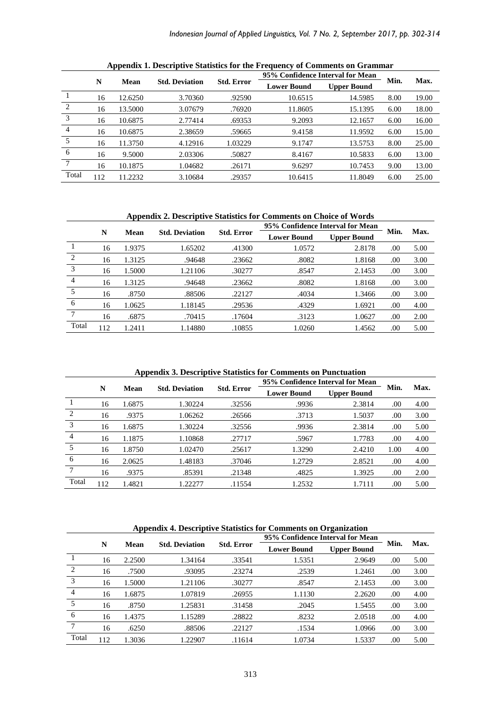|                |     | 95% Confidence Interval for Mean |                       |                   |                    |                    |      |       |
|----------------|-----|----------------------------------|-----------------------|-------------------|--------------------|--------------------|------|-------|
|                | N   | Mean                             | <b>Std. Deviation</b> | <b>Std. Error</b> | <b>Lower Bound</b> | <b>Upper Bound</b> | Min. | Max.  |
|                | 16  | 12.6250                          | 3.70360               | .92590            | 10.6515            | 14.5985            | 8.00 | 19.00 |
| $\overline{2}$ | 16  | 13.5000                          | 3.07679               | .76920            | 11.8605            | 15.1395            | 6.00 | 18.00 |
| 3              | 16  | 10.6875                          | 2.77414               | .69353            | 9.2093             | 12.1657            | 6.00 | 16.00 |
| $\overline{4}$ | 16  | 10.6875                          | 2.38659               | .59665            | 9.4158             | 11.9592            | 6.00 | 15.00 |
| 5              | 16  | 11.3750                          | 4.12916               | 1.03229           | 9.1747             | 13.5753            | 8.00 | 25.00 |
| 6              | 16  | 9.5000                           | 2.03306               | .50827            | 8.4167             | 10.5833            | 6.00 | 13.00 |
| 7              | 16  | 10.1875                          | 1.04682               | .26171            | 9.6297             | 10.7453            | 9.00 | 13.00 |
| Total          | 112 | 11.2232                          | 3.10684               | .29357            | 10.6415            | 11.8049            | 6.00 | 25.00 |

**Appendix 1. Descriptive Statistics for the Frequency of Comments on Grammar**

**Appendix 2. Descriptive Statistics for Comments on Choice of Words**

|                |     |        |                       |                   | 95% Confidence Interval for Mean |                    |      |      |
|----------------|-----|--------|-----------------------|-------------------|----------------------------------|--------------------|------|------|
|                | N   | Mean   | <b>Std. Deviation</b> | <b>Std. Error</b> | <b>Lower Bound</b>               | <b>Upper Bound</b> | Min. | Max. |
|                | 16  | 1.9375 | 1.65202               | .41300            | 1.0572                           | 2.8178             | .00  | 5.00 |
| $\overline{2}$ | 16  | 1.3125 | .94648                | .23662            | .8082                            | 1.8168             | .00  | 3.00 |
| 3              | 16  | 1.5000 | 1.21106               | .30277            | .8547                            | 2.1453             | .00  | 3.00 |
| $\overline{4}$ | 16  | 1.3125 | .94648                | .23662            | .8082                            | 1.8168             | .00  | 3.00 |
| 5              | 16  | .8750  | .88506                | .22127            | .4034                            | 1.3466             | .00  | 3.00 |
| 6              | 16  | 1.0625 | 1.18145               | .29536            | .4329                            | 1.6921             | .00  | 4.00 |
|                | 16  | .6875  | .70415                | .17604            | .3123                            | 1.0627             | .00  | 2.00 |
| Total          | 112 | 1.2411 | 1.14880               | .10855            | 1.0260                           | 1.4562             | .00  | 5.00 |

**Appendix 3. Descriptive Statistics for Comments on Punctuation**

|                |     |        |                       |                   | 95% Confidence Interval for Mean |                    |      |      |
|----------------|-----|--------|-----------------------|-------------------|----------------------------------|--------------------|------|------|
|                | N   | Mean   | <b>Std. Deviation</b> | <b>Std. Error</b> | <b>Lower Bound</b>               | <b>Upper Bound</b> | Min. | Max. |
|                | 16  | 1.6875 | 1.30224               | .32556            | .9936                            | 2.3814             | .00  | 4.00 |
| 2              | 16  | .9375  | 1.06262               | .26566            | .3713                            | 1.5037             | .00  | 3.00 |
| 3              | 16  | 1.6875 | 1.30224               | .32556            | .9936                            | 2.3814             | .00  | 5.00 |
| $\overline{4}$ | 16  | 1.1875 | 1.10868               | .27717            | .5967                            | 1.7783             | .00  | 4.00 |
| 5              | 16  | 1.8750 | 1.02470               | .25617            | 1.3290                           | 2.4210             | 1.00 | 4.00 |
| -6             | 16  | 2.0625 | 1.48183               | .37046            | 1.2729                           | 2.8521             | .00  | 4.00 |
| 7              | 16  | .9375  | .85391                | .21348            | .4825                            | 1.3925             | .00  | 2.00 |
| Total          | 112 | 1.4821 | 1.22277               | .11554            | 1.2532                           | 1.7111             | .00. | 5.00 |

**Appendix 4. Descriptive Statistics for Comments on Organization**

|                |     |        |                       |                   | 95% Confidence Interval for Mean |                    |      |      |
|----------------|-----|--------|-----------------------|-------------------|----------------------------------|--------------------|------|------|
|                | N   | Mean   | <b>Std. Deviation</b> | <b>Std. Error</b> | <b>Lower Bound</b>               | <b>Upper Bound</b> | Min. | Max. |
|                | 16  | 2.2500 | 1.34164               | .33541            | 1.5351                           | 2.9649             | .00  | 5.00 |
| $\overline{2}$ | 16  | .7500  | .93095                | .23274            | .2539                            | 1.2461             | .00  | 3.00 |
| 3              | 16  | 1.5000 | 1.21106               | .30277            | .8547                            | 2.1453             | .00  | 3.00 |
| $\overline{4}$ | 16  | 1.6875 | 1.07819               | .26955            | 1.1130                           | 2.2620             | .00  | 4.00 |
| 5              | 16  | .8750  | 1.25831               | .31458            | .2045                            | 1.5455             | .00  | 3.00 |
| 6              | 16  | 1.4375 | 1.15289               | .28822            | .8232                            | 2.0518             | .00  | 4.00 |
| 7              | 16  | .6250  | .88506                | .22127            | .1534                            | 1.0966             | .00  | 3.00 |
| Total          | 112 | 1.3036 | .22907                | .11614            | 1.0734                           | 1.5337             | .00  | 5.00 |